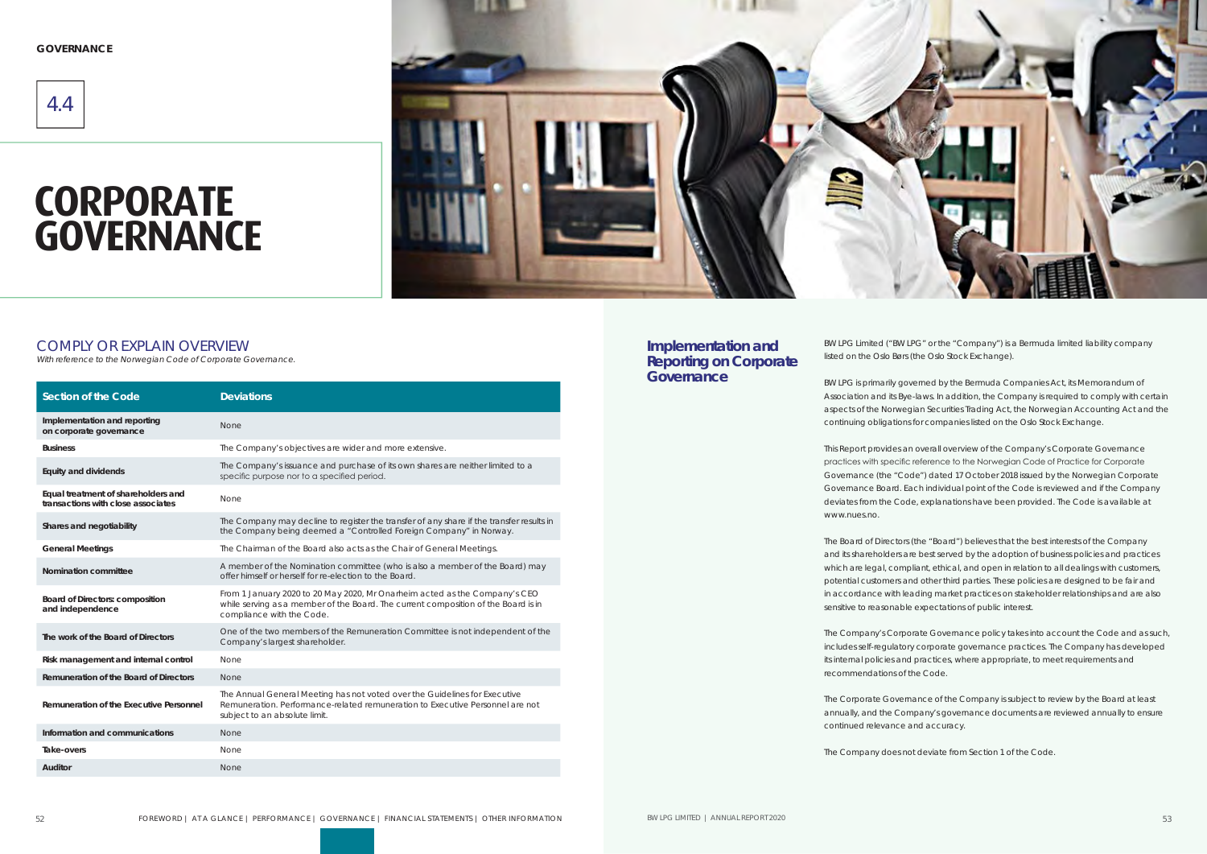# **CORPORATE GOVERNANCE**



#### COMPLY OR EXPLAIN OVERVIEW

| <b>Section of the Code</b>                                                | <b>Deviations</b>                                                                                                                                                                             |
|---------------------------------------------------------------------------|-----------------------------------------------------------------------------------------------------------------------------------------------------------------------------------------------|
| Implementation and reporting<br>on corporate governance                   | None                                                                                                                                                                                          |
| <b>Business</b>                                                           | The Company's objectives are wider and more extensive.                                                                                                                                        |
| <b>Equity and dividends</b>                                               | The Company's issuance and purchase of its own shares are neither limited to a<br>specific purpose nor to a specified period.                                                                 |
| Equal treatment of shareholders and<br>transactions with close associates | None                                                                                                                                                                                          |
| Shares and negotiability                                                  | The Company may decline to register the transfer of any share if the transfer results in<br>the Company being deemed a "Controlled Foreign Company" in Norway.                                |
| <b>General Meetings</b>                                                   | The Chairman of the Board also acts as the Chair of General Meetings.                                                                                                                         |
| Nomination committee                                                      | A member of the Nomination committee (who is also a member of the Board) may<br>offer himself or herself for re-election to the Board.                                                        |
| <b>Board of Directors: composition</b><br>and independence                | From 1 January 2020 to 20 May 2020, Mr Onarheim acted as the Company's CEO<br>while serving as a member of the Board. The current composition of the Board is in<br>compliance with the Code. |
| The work of the Board of Directors                                        | One of the two members of the Remuneration Committee is not independent of the<br>Company's largest shareholder.                                                                              |
| Risk management and internal control                                      | <b>None</b>                                                                                                                                                                                   |
| Remuneration of the Board of Directors                                    | None                                                                                                                                                                                          |
| Remuneration of the Executive Personnel                                   | The Annual General Meeting has not voted over the Guidelines for Executive<br>Remuneration. Performance-related remuneration to Executive Personnel are not<br>subject to an absolute limit.  |
| Information and communications                                            | None                                                                                                                                                                                          |
| Take-overs                                                                | <b>None</b>                                                                                                                                                                                   |
| Auditor                                                                   | <b>None</b>                                                                                                                                                                                   |

4.4

**GOVERNANCE**

BW LPG Limited ("BW LPG" or the "Company") is a Bermuda limited liability company listed on the Oslo Børs (the Oslo Stock Exchange).

BW LPG is primarily governed by the Bermuda Companies Act, its Memorandum of Association and its Bye-laws. In addition, the Company is required to comply with certain aspects of the Norwegian Securities Trading Act, the Norwegian Accounting Act and the continuing obligations for companies listed on the Oslo Stock Exchange.

This Report provides an overall overview of the Company's Corporate Governance practices with specific reference to the Norwegian Code of Practice for Corporate Governance (the "Code") dated 17 October 2018 issued by the Norwegian Corporate Governance Board. Each individual point of the Code is reviewed and if the Company deviates from the Code, explanations have been provided. The Code is available at

www.nues.no.

The Board of Directors (the "Board") believes that the best interests of the Company and its shareholders are best served by the adoption of business policies and practices which are legal, compliant, ethical, and open in relation to all dealings with customers, potential customers and other third parties. These policies are designed to be fair and in accordance with leading market practices on stakeholder relationships and are also sensitive to reasonable expectations of public interest.

The Company's Corporate Governance policy takes into account the Code and as such, includes self-regulatory corporate governance practices. The Company has developed its internal policies and practices, where appropriate, to meet requirements and recommendations of the Code.

The Corporate Governance of the Company is subject to review by the Board at least annually, and the Company's governance documents are reviewed annually to ensure

continued relevance and accuracy.

The Company does not deviate from Section 1 of the Code.

#### **Implementation and Reporting on Corporate Governance**

With reference to the Norwegian Code of Corporate Governance.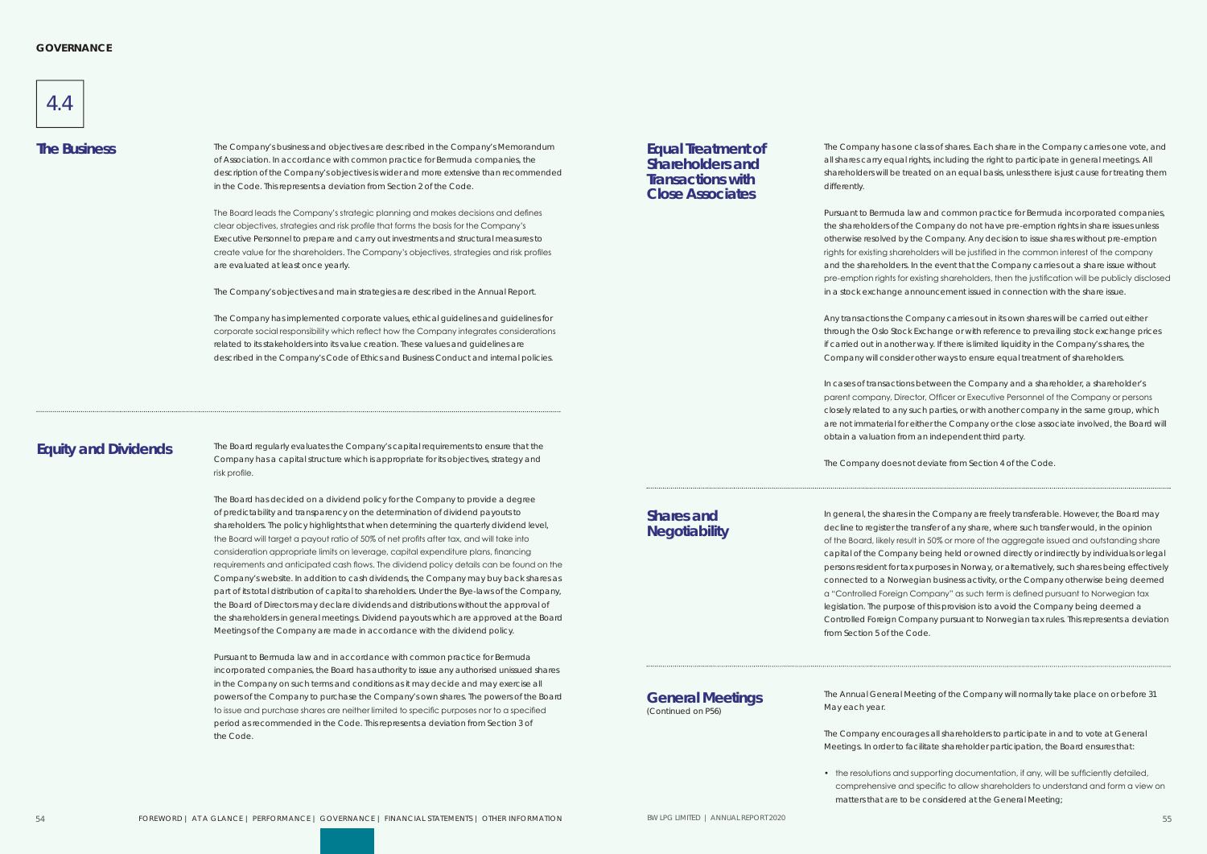

The Company's business and objectives are described in the Company's Memorandum **The Business Equal Treatment of**  of Association. In accordance with common practice for Bermuda companies, the description of the Company's objectives is wider and more extensive than recommended in the Code. This represents a deviation from Section 2 of the Code.

> The Board leads the Company's strategic planning and makes decisions and defines clear objectives, strategies and risk profile that forms the basis for the Company's Executive Personnel to prepare and carry out investments and structural measures to create value for the shareholders. The Company's objectives, strategies and risk profiles are evaluated at least once yearly.

The Company's objectives and main strategies are described in the Annual Report.

The Company has implemented corporate values, ethical guidelines and guidelines for corporate social responsibility which reflect how the Company integrates considerations related to its stakeholders into its value creation. These values and guidelines are described in the Company's Code of Ethics and Business Conduct and internal policies.

The Company has one class of shares. Each share in the Company carries one vote, and all shares carry equal rights, including the right to participate in general meetings. All shareholders will be treated on an equal basis, unless there is just cause for treating them

differently.

Pursuant to Bermuda law and common practice for Bermuda incorporated companies, the shareholders of the Company do not have pre-emption rights in share issues unless otherwise resolved by the Company. Any decision to issue shares without pre-emption rights for existing shareholders will be justified in the common interest of the company and the shareholders. In the event that the Company carries out a share issue without pre-emption rights for existing shareholders, then the justification will be publicly disclosed in a stock exchange announcement issued in connection with the share issue.

Any transactions the Company carries out in its own shares will be carried out either through the Oslo Stock Exchange or with reference to prevailing stock exchange prices if carried out in another way. If there is limited liquidity in the Company's shares, the Company will consider other ways to ensure equal treatment of shareholders.

In cases of transactions between the Company and a shareholder, a shareholder's parent company, Director, Officer or Executive Personnel of the Company or persons closely related to any such parties, or with another company in the same group, which are not immaterial for either the Company or the close associate involved, the Board will obtain a valuation from an independent third party.

The Company does not deviate from Section 4 of the Code.

In general, the shares in the Company are freely transferable. However, the Board may decline to register the transfer of any share, where such transfer would, in the opinion of the Board, likely result in 50% or more of the aggregate issued and outstanding share capital of the Company being held or owned directly or indirectly by individuals or legal persons resident for tax purposes in Norway, or alternatively, such shares being effectively connected to a Norwegian business activity, or the Company otherwise being deemed a "Controlled Foreign Company" as such term is defined pursuant to Norwegian tax legislation. The purpose of this provision is to avoid the Company being deemed a Controlled Foreign Company pursuant to Norwegian tax rules. This represents a deviation from Section 5 of the Code.

The Annual General Meeting of the Company will normally take place on or before 31

May each year.

The Company encourages all shareholders to participate in and to vote at General Meetings. In order to facilitate shareholder participation, the Board ensures that:

• the resolutions and supporting documentation, if any, will be sufficiently detailed, comprehensive and specific to allow shareholders to understand and form a view on matters that are to be considered at the General Meeting;

The Board regularly evaluates the Company's capital requirements to ensure that the Company has a capital structure which is appropriate for its objectives, strategy and risk profile.

The Board has decided on a dividend policy for the Company to provide a degree of predictability and transparency on the determination of dividend payouts to shareholders. The policy highlights that when determining the quarterly dividend level, the Board will target a payout ratio of 50% of net profits after tax, and will take into consideration appropriate limits on leverage, capital expenditure plans, financing requirements and anticipated cash flows. The dividend policy details can be found on the Company's website. In addition to cash dividends, the Company may buy back shares as part of its total distribution of capital to shareholders. Under the Bye-laws of the Company, the Board of Directors may declare dividends and distributions without the approval of the shareholders in general meetings. Dividend payouts which are approved at the Board Meetings of the Company are made in accordance with the dividend policy.

Pursuant to Bermuda law and in accordance with common practice for Bermuda incorporated companies, the Board has authority to issue any authorised unissued shares in the Company on such terms and conditions as it may decide and may exercise all powers of the Company to purchase the Company's own shares. The powers of the Board to issue and purchase shares are neither limited to specific purposes nor to a specified period as recommended in the Code. This represents a deviation from Section 3 of the Code.

# **Shareholders and Transactions with Close Associates**

**Shares and Negotiability**

## **Equity and Dividends**

**General Meetings** (Continued on P56)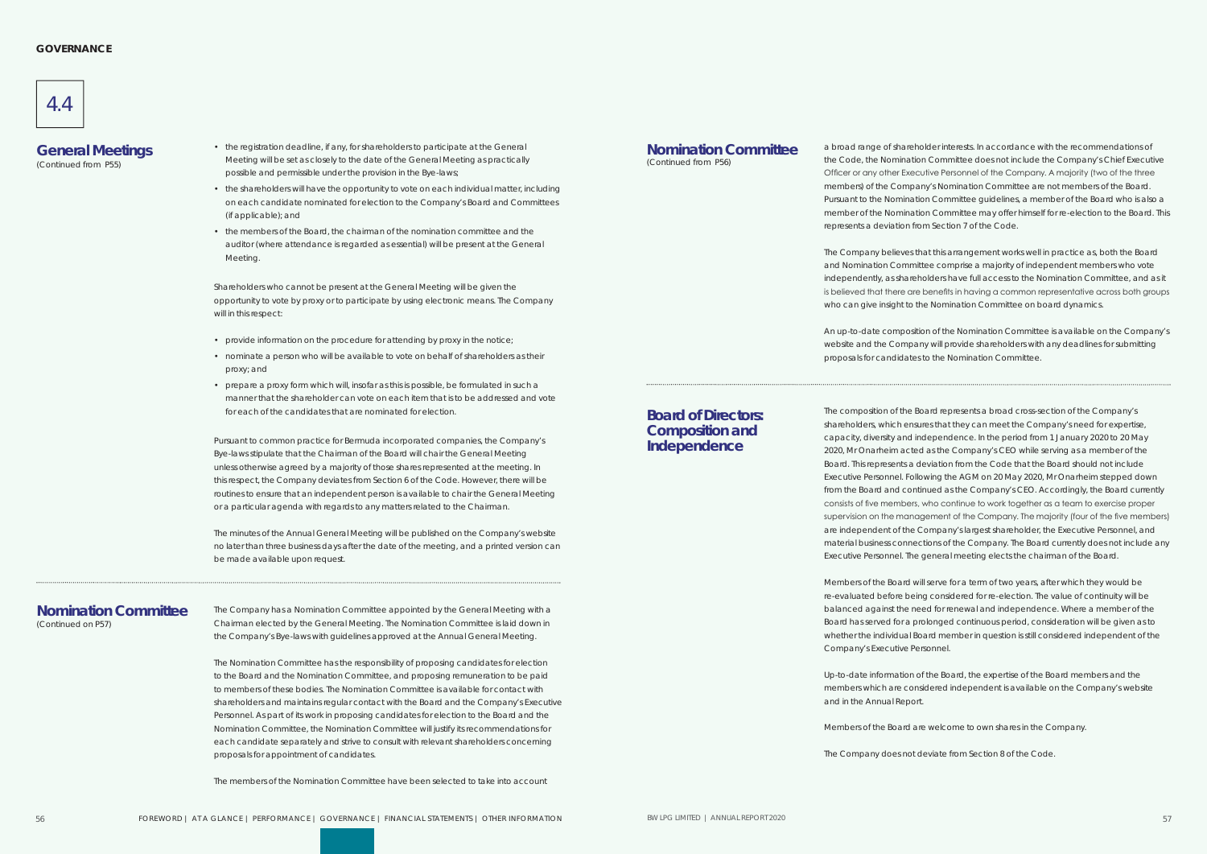

- the registration deadline, if any, for shareholders to participate at the General (Continued from P55) Meeting will be set as closely to the date of the General Meeting as practically (Continued from P56) possible and permissible under the provision in the Bye-laws;
	- the shareholders will have the opportunity to vote on each individual matter, including on each candidate nominated for election to the Company's Board and Committees (if applicable); and
	- the members of the Board, the chairman of the nomination committee and the auditor (where attendance is regarded as essential) will be present at the General Meeting.

Shareholders who cannot be present at the General Meeting will be given the opportunity to vote by proxy or to participate by using electronic means. The Company will in this respect:

- provide information on the procedure for attending by proxy in the notice;
- nominate a person who will be available to vote on behalf of shareholders as their proxy; and
- prepare a proxy form which will, insofar as this is possible, be formulated in such a manner that the shareholder can vote on each item that is to be addressed and vote for each of the candidates that are nominated for election.

Pursuant to common practice for Bermuda incorporated companies, the Company's Bye-laws stipulate that the Chairman of the Board will chair the General Meeting unless otherwise agreed by a majority of those shares represented at the meeting. In this respect, the Company deviates from Section 6 of the Code. However, there will be routines to ensure that an independent person is available to chair the General Meeting or a particular agenda with regards to any matters related to the Chairman.

**Nomination Committee** a broad range of shareholder interests. In accordance with the recommendations of (Continued from P56) the Code, the Nomination Committee does not include the Company's Chief Execution the Code, the Nomination Committee does not include the Company's Chief Executive Officer or any other Executive Personnel of the Company. A majority (two of the three members) of the Company's Nomination Committee are not members of the Board. Pursuant to the Nomination Committee guidelines, a member of the Board who is also a member of the Nomination Committee may offer himself for re-election to the Board. This represents a deviation from Section 7 of the Code.

The minutes of the Annual General Meeting will be published on the Company's website no later than three business days after the date of the meeting, and a printed version can be made available upon request.

# **General Meetings**

The Company has a Nomination Committee appointed by the General Meeting with a Chairman elected by the General Meeting. The Nomination Committee is laid down in the Company's Bye-laws with guidelines approved at the Annual General Meeting.

The Nomination Committee has the responsibility of proposing candidates for election to the Board and the Nomination Committee, and proposing remuneration to be paid to members of these bodies. The Nomination Committee is available for contact with shareholders and maintains regular contact with the Board and the Company's Executive Personnel. As part of its work in proposing candidates for election to the Board and the Nomination Committee, the Nomination Committee will justify its recommendations for each candidate separately and strive to consult with relevant shareholders concerning proposals for appointment of candidates.

The members of the Nomination Committee have been selected to take into account

# **Nomination Committee**

The Company believes that this arrangement works well in practice as, both the Board and Nomination Committee comprise a majority of independent members who vote independently, as shareholders have full access to the Nomination Committee, and as it is believed that there are benefits in having a common representative across both groups who can give insight to the Nomination Committee on board dynamics.

An up-to-date composition of the Nomination Committee is available on the Company's website and the Company will provide shareholders with any deadlines for submitting proposals for candidates to the Nomination Committee.

(Continued on P57)

The composition of the Board represents a broad cross-section of the Company's shareholders, which ensures that they can meet the Company's need for expertise, capacity, diversity and independence. In the period from 1 January 2020 to 20 May 2020, Mr Onarheim acted as the Company's CEO while serving as a member of the Board. This represents a deviation from the Code that the Board should not include Executive Personnel. Following the AGM on 20 May 2020, Mr Onarheim stepped down from the Board and continued as the Company's CEO. Accordingly, the Board currently consists of five members, who continue to work together as a team to exercise proper supervision on the management of the Company. The majority (four of the five members) are independent of the Company's largest shareholder, the Executive Personnel, and material business connections of the Company. The Board currently does not include any Executive Personnel. The general meeting elects the chairman of the Board.

Members of the Board will serve for a term of two years, after which they would be re-evaluated before being considered for re-election. The value of continuity will be balanced against the need for renewal and independence. Where a member of the Board has served for a prolonged continuous period, consideration will be given as to whether the individual Board member in question is still considered independent of the Company's Executive Personnel.

Up-to-date information of the Board, the expertise of the Board members and the members which are considered independent is available on the Company's website and in the Annual Report.

Members of the Board are welcome to own shares in the Company.

The Company does not deviate from Section 8 of the Code.

#### **Board of Directors: Composition and Independence**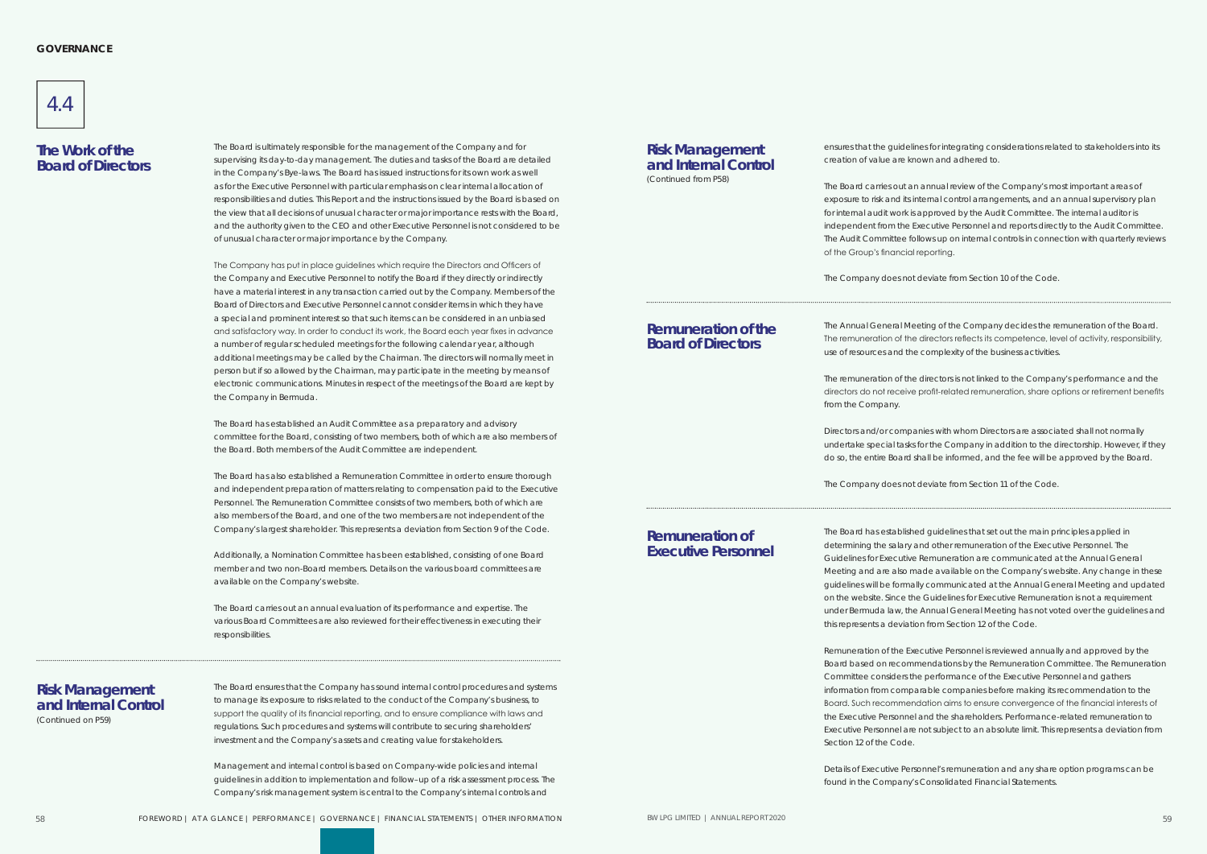

The Board is ultimately responsible for the management of the Company and for supervising its day-to-day management. The duties and tasks of the Board are detailed in the Company's Bye-laws. The Board has issued instructions for its own work as well as for the Executive Personnel with particular emphasis on clear internal allocation of responsibilities and duties. This Report and the instructions issued by the Board is based on the view that all decisions of unusual character or major importance rests with the Board, and the authority given to the CEO and other Executive Personnel is not considered to be of unusual character or major importance by the Company.

The Company has put in place guidelines which require the Directors and Officers of the Company and Executive Personnel to notify the Board if they directly or indirectly have a material interest in any transaction carried out by the Company. Members of the Board of Directors and Executive Personnel cannot consider items in which they have a special and prominent interest so that such items can be considered in an unbiased and satisfactory way. In order to conduct its work, the Board each year fixes in advance a number of regular scheduled meetings for the following calendar year, although additional meetings may be called by the Chairman. The directors will normally meet in person but if so allowed by the Chairman, may participate in the meeting by means of electronic communications. Minutes in respect of the meetings of the Board are kept by the Company in Bermuda.

The Board has established an Audit Committee as a preparatory and advisory committee for the Board, consisting of two members, both of which are also members of the Board. Both members of the Audit Committee are independent.

The Board has also established a Remuneration Committee in order to ensure thorough and independent preparation of matters relating to compensation paid to the Executive Personnel. The Remuneration Committee consists of two members, both of which are also members of the Board, and one of the two members are not independent of the Company's largest shareholder. This represents a deviation from Section 9 of the Code.

Additionally, a Nomination Committee has been established, consisting of one Board member and two non-Board members. Details on the various board committees are available on the Company's website.

The Board carries out an annual evaluation of its performance and expertise. The various Board Committees are also reviewed for their effectiveness in executing their responsibilities.

## **The Work of the Board of Directors**

The Board ensures that the Company has sound internal control procedures and systems to manage its exposure to risks related to the conduct of the Company's business, to support the quality of its financial reporting, and to ensure compliance with laws and regulations. Such procedures and systems will contribute to securing shareholders' investment and the Company's assets and creating value for stakeholders.

Management and internal control is based on Company-wide policies and internal guidelines in addition to implementation and follow–up of a risk assessment process. The Company's risk management system is central to the Company's internal controls and

## **Risk Management and Internal Control**

ensures that the guidelines for integrating considerations related to stakeholders into its creation of value are known and adhered to.

#### **Risk Management and Internal Control** (Continued from P58)

The Board carries out an annual review of the Company's most important areas of exposure to risk and its internal control arrangements, and an annual supervisory plan for internal audit work is approved by the Audit Committee. The internal auditor is independent from the Executive Personnel and reports directly to the Audit Committee. The Audit Committee follows up on internal controls in connection with quarterly reviews of the Group's financial reporting.

The Company does not deviate from Section 10 of the Code.

(Continued on P59)

The Annual General Meeting of the Company decides the remuneration of the Board. The remuneration of the directors reflects its competence, level of activity, responsibility, use of resources and the complexity of the business activities.

The remuneration of the directors is not linked to the Company's performance and the directors do not receive profit-related remuneration, share options or retirement benefits

from the Company.

Directors and/or companies with whom Directors are associated shall not normally undertake special tasks for the Company in addition to the directorship. However, if they do so, the entire Board shall be informed, and the fee will be approved by the Board.

The Company does not deviate from Section 11 of the Code.

The Board has established guidelines that set out the main principles applied in determining the salary and other remuneration of the Executive Personnel. The Guidelines for Executive Remuneration are communicated at the Annual General Meeting and are also made available on the Company's website. Any change in these guidelines will be formally communicated at the Annual General Meeting and updated on the website. Since the Guidelines for Executive Remuneration is not a requirement under Bermuda law, the Annual General Meeting has not voted over the guidelines and this represents a deviation from Section 12 of the Code.

Remuneration of the Executive Personnel is reviewed annually and approved by the Board based on recommendations by the Remuneration Committee. The Remuneration Committee considers the performance of the Executive Personnel and gathers information from comparable companies before making its recommendation to the Board. Such recommendation aims to ensure convergence of the financial interests of the Executive Personnel and the shareholders. Performance-related remuneration to Executive Personnel are not subject to an absolute limit. This represents a deviation from Section 12 of the Code.

Details of Executive Personnel's remuneration and any share option programs can be found in the Company's Consolidated Financial Statements.

#### **Remuneration of the Board of Directors**

#### **Remuneration of Executive Personnel**